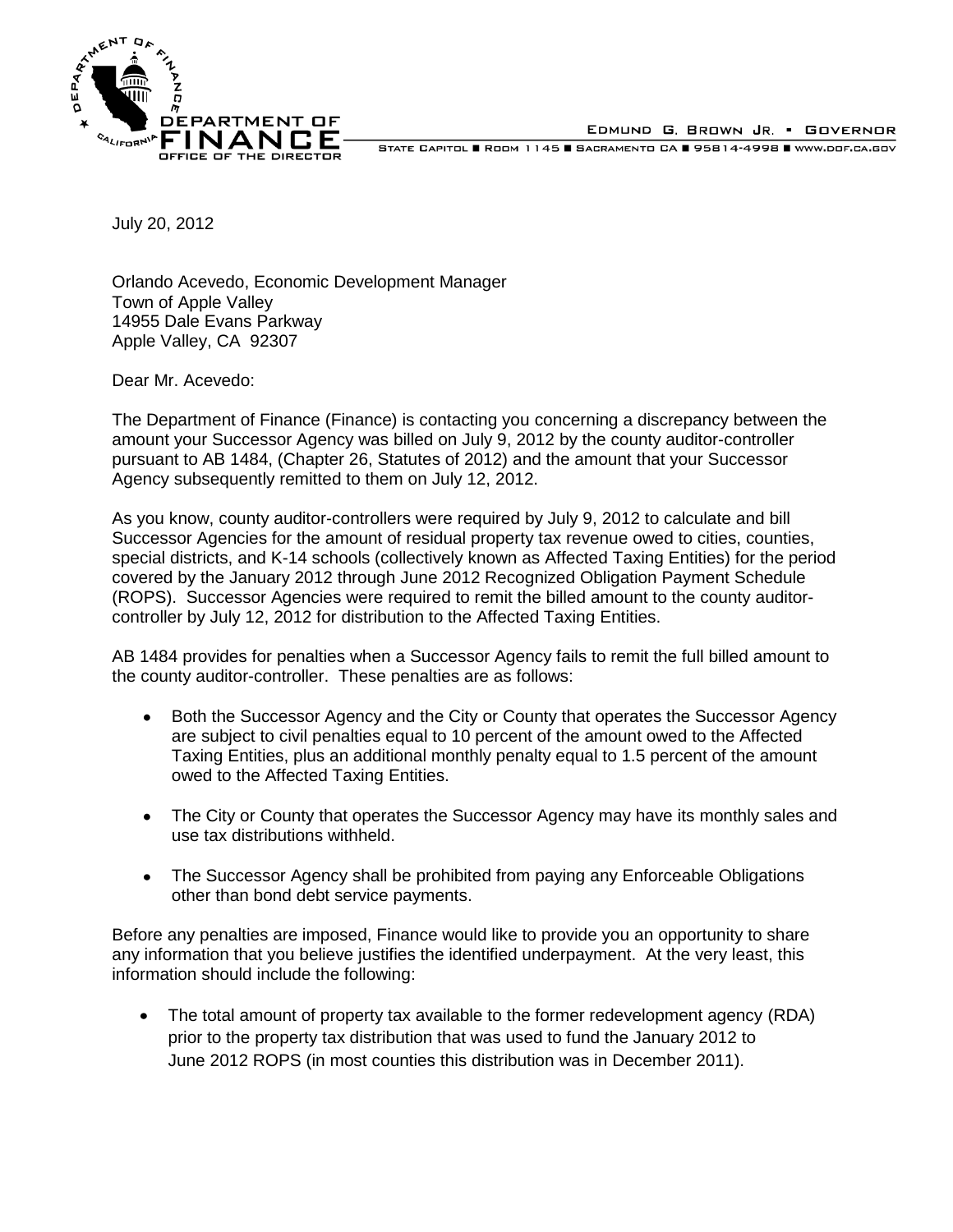

EDMUND G. BROWN JR. • GOVERNOR

STATE CAPITOL **B** ROOM 1145 SACRAMENTO CA **B** 95814-4998 WWW.DOF.CA.GOV

July 20, 2012

Orlando Acevedo, Economic Development Manager Town of Apple Valley 14955 Dale Evans Parkway Apple Valley, CA 92307

Dear Mr. Acevedo:

The Department of Finance (Finance) is contacting you concerning a discrepancy between the amount your Successor Agency was billed on July 9, 2012 by the county auditor-controller pursuant to AB 1484, (Chapter 26, Statutes of 2012) and the amount that your Successor Agency subsequently remitted to them on July 12, 2012.

As you know, county auditor-controllers were required by July 9, 2012 to calculate and bill Successor Agencies for the amount of residual property tax revenue owed to cities, counties, special districts, and K-14 schools (collectively known as Affected Taxing Entities) for the period covered by the January 2012 through June 2012 Recognized Obligation Payment Schedule (ROPS). Successor Agencies were required to remit the billed amount to the county auditorcontroller by July 12, 2012 for distribution to the Affected Taxing Entities.

AB 1484 provides for penalties when a Successor Agency fails to remit the full billed amount to the county auditor-controller. These penalties are as follows:

- $\bullet$ Both the Successor Agency and the City or County that operates the Successor Agency are subject to civil penalties equal to 10 percent of the amount owed to the Affected Taxing Entities, plus an additional monthly penalty equal to 1.5 percent of the amount owed to the Affected Taxing Entities.
- The City or County that operates the Successor Agency may have its monthly sales and use tax distributions withheld.
- The Successor Agency shall be prohibited from paying any Enforceable Obligations other than bond debt service payments.

Before any penalties are imposed, Finance would like to provide you an opportunity to share any information that you believe justifies the identified underpayment. At the very least, this information should include the following:

 $\bullet$ The total amount of property tax available to the former redevelopment agency (RDA) prior to the property tax distribution that was used to fund the January 2012 to June 2012 ROPS (in most counties this distribution was in December 2011).